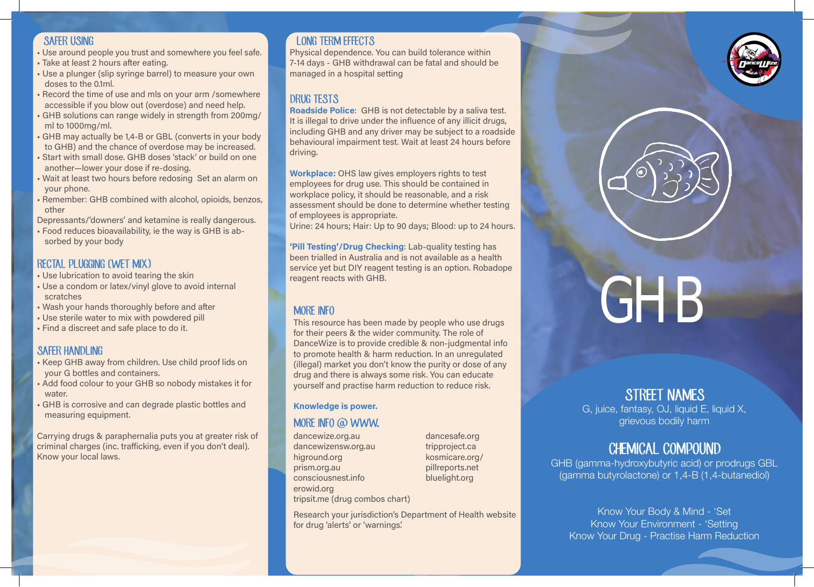#### SAFER USING

- Use around people you trust and somewhere you feel safe.
- Take at least 2 hours after eating.
- Use a plunger (slip syringe barrel) to measure your own doses to the 0.1ml.
- Record the time of use and mls on your arm /somewhere accessible if you blow out (overdose) and need help.
- GHB solutions can range widely in strength from 200mg/ ml to 1000mg/ml.
- GHB may actually be 1,4-B or GBL (converts in your body to GHB) and the chance of overdose may be increased.
- Start with small dose. GHB doses 'stack' or build on one another—lower your dose if re-dosing.
- Wait at least two hours before redosing Set an alarm on your phone.
- Remember: GHB combined with alcohol, opioids, benzos, other

Depressants/'downers' and ketamine is really dangerous.

• Food reduces bioavailability, ie the way is GHB is absorbed by your body

### RECTAL PLUGGING (WET MIX)

- Use lubrication to avoid tearing the skin
- Use a condom or latex/vinyl glove to avoid internal scratches
- Wash your hands thoroughly before and after
- Use sterile water to mix with powdered pill
- Find a discreet and safe place to do it.

#### SAFFR HANDLING

- Keep GHB away from children. Use child proof lids on your G bottles and containers.
- Add food colour to your GHB so nobody mistakes it for water.
- GHB is corrosive and can degrade plastic bottles and measuring equipment.

Carrying drugs & paraphernalia puts you at greater risk of criminal charges (inc. trafficking, even if you don't deal). Know your local laws.

## LONG TERM FEFECTS

Physical dependence. You can build tolerance within 7-14 days - GHB withdrawal can be fatal and should be managed in a hospital setting

## DRUG TESTS

Roadside Police: GHB is not detectable by a saliva test. It is illegal to drive under the influence of any illicit drugs, including GHB and any driver may be subject to a roadside behavioural impairment test. Wait at least 24 hours before driving.

Workplace: OHS law gives employers rights to test employees for drug use. This should be contained in workplace policy, it should be reasonable, and a risk assessment should be done to determine whether testing of employees is appropriate.

Urine: 24 hours; Hair: Up to 90 days; Blood: up to 24 hours.

'Pill Testing'/Drug Checking: Lab-quality testing has been trialled in Australia and is not available as a health service yet but DIY reagent testing is an option. Robadope reagent reacts with GHB.

## MORE INFO

This resource has been made by people who use drugs for their peers & the wider community. The role of DanceWize is to provide credible & non-judgmental info to promote health & harm reduction. In an unregulated (illegal) market you don't know the purity or dose of any drug and there is always some risk. You can educate yourself and practise harm reduction to reduce risk.

#### Knowledge is power.

#### MORE INFO @ WWW.

dancewize.org.au dancewizensw.org.au higround.org prism.org.au consciousnest.info erowid.org tripsit.me (drug combos chart)

dancesafe.org tripproject.ca kosmicare.org/ pillreports.net bluelight.org

Research your jurisdiction's Department of Health website for drug 'alerts' or 'warnings'.





# GHB

# STREET NAMES

G, juice, fantasy, OJ, liquid E, liquid X, grievous bodily harm

## CHEMICAL COMPOUND

GHB (gamma-hydroxybutyric acid) or prodrugs GBL (gamma butyrolactone) or 1,4-B (1,4-butanediol)

Know Your Body & Mind - 'Set Know Your Environment - 'Setting Know Your Drug - Practise Harm Reduction